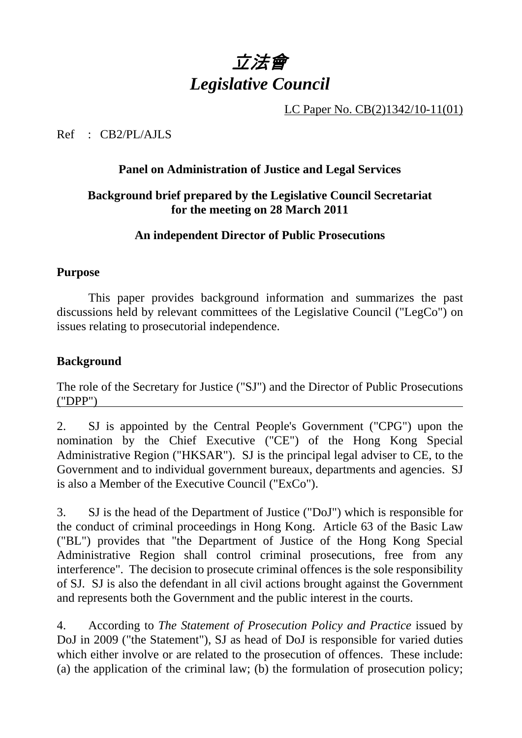

LC Paper No. CB(2)1342/10-11(01)

Ref : CB2/PL/AJLS

#### **Panel on Administration of Justice and Legal Services**

### **Background brief prepared by the Legislative Council Secretariat for the meeting on 28 March 2011**

#### **An independent Director of Public Prosecutions**

#### **Purpose**

1. This paper provides background information and summarizes the past discussions held by relevant committees of the Legislative Council ("LegCo") on issues relating to prosecutorial independence.

#### **Background**

The role of the Secretary for Justice ("SJ") and the Director of Public Prosecutions ("DPP")

2. SJ is appointed by the Central People's Government ("CPG") upon the nomination by the Chief Executive ("CE") of the Hong Kong Special Administrative Region ("HKSAR"). SJ is the principal legal adviser to CE, to the Government and to individual government bureaux, departments and agencies. SJ is also a Member of the Executive Council ("ExCo").

3. SJ is the head of the Department of Justice ("DoJ") which is responsible for the conduct of criminal proceedings in Hong Kong. Article 63 of the Basic Law ("BL") provides that "the Department of Justice of the Hong Kong Special Administrative Region shall control criminal prosecutions, free from any interference". The decision to prosecute criminal offences is the sole responsibility of SJ. SJ is also the defendant in all civil actions brought against the Government and represents both the Government and the public interest in the courts.

4. According to *The Statement of Prosecution Policy and Practice* issued by DoJ in 2009 ("the Statement"), SJ as head of DoJ is responsible for varied duties which either involve or are related to the prosecution of offences. These include: (a) the application of the criminal law; (b) the formulation of prosecution policy;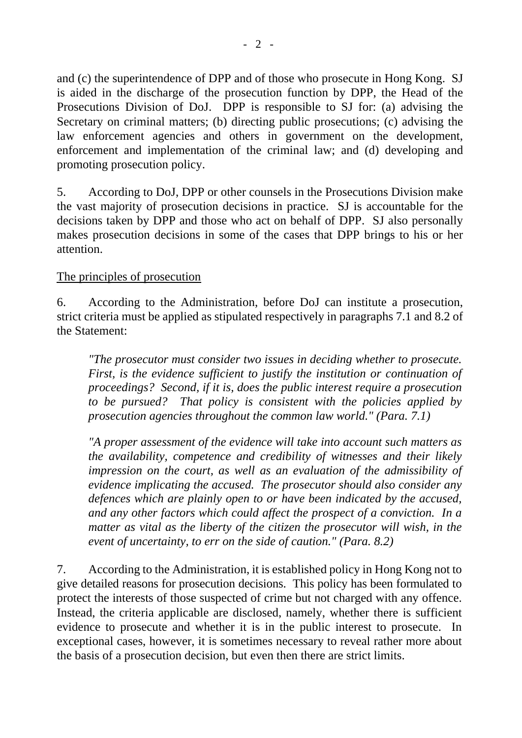and (c) the superintendence of DPP and of those who prosecute in Hong Kong. SJ is aided in the discharge of the prosecution function by DPP, the Head of the Prosecutions Division of DoJ. DPP is responsible to SJ for: (a) advising the Secretary on criminal matters; (b) directing public prosecutions; (c) advising the law enforcement agencies and others in government on the development, enforcement and implementation of the criminal law; and (d) developing and promoting prosecution policy.

5. According to DoJ, DPP or other counsels in the Prosecutions Division make the vast majority of prosecution decisions in practice. SJ is accountable for the decisions taken by DPP and those who act on behalf of DPP. SJ also personally makes prosecution decisions in some of the cases that DPP brings to his or her attention.

#### The principles of prosecution

6. According to the Administration, before DoJ can institute a prosecution, strict criteria must be applied as stipulated respectively in paragraphs 7.1 and 8.2 of the Statement:

*"The prosecutor must consider two issues in deciding whether to prosecute. First, is the evidence sufficient to justify the institution or continuation of proceedings? Second, if it is, does the public interest require a prosecution to be pursued? That policy is consistent with the policies applied by prosecution agencies throughout the common law world." (Para. 7.1)* 

*"A proper assessment of the evidence will take into account such matters as the availability, competence and credibility of witnesses and their likely impression on the court, as well as an evaluation of the admissibility of evidence implicating the accused. The prosecutor should also consider any defences which are plainly open to or have been indicated by the accused, and any other factors which could affect the prospect of a conviction. In a matter as vital as the liberty of the citizen the prosecutor will wish, in the event of uncertainty, to err on the side of caution." (Para. 8.2)* 

7. According to the Administration, it is established policy in Hong Kong not to give detailed reasons for prosecution decisions. This policy has been formulated to protect the interests of those suspected of crime but not charged with any offence. Instead, the criteria applicable are disclosed, namely, whether there is sufficient evidence to prosecute and whether it is in the public interest to prosecute. In exceptional cases, however, it is sometimes necessary to reveal rather more about the basis of a prosecution decision, but even then there are strict limits.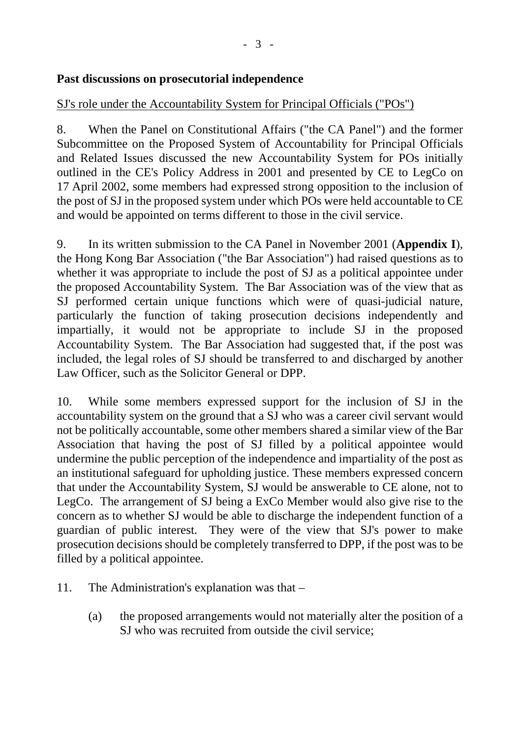### **Past discussions on prosecutorial independence**

## SJ's role under the Accountability System for Principal Officials ("POs")

8. When the Panel on Constitutional Affairs ("the CA Panel") and the former Subcommittee on the Proposed System of Accountability for Principal Officials and Related Issues discussed the new Accountability System for POs initially outlined in the CE's Policy Address in 2001 and presented by CE to LegCo on 17 April 2002, some members had expressed strong opposition to the inclusion of the post of SJ in the proposed system under which POs were held accountable to CE and would be appointed on terms different to those in the civil service.

9. In its written submission to the CA Panel in November 2001 (**Appendix I**), the Hong Kong Bar Association ("the Bar Association") had raised questions as to whether it was appropriate to include the post of SJ as a political appointee under the proposed Accountability System. The Bar Association was of the view that as SJ performed certain unique functions which were of quasi-judicial nature, particularly the function of taking prosecution decisions independently and impartially, it would not be appropriate to include SJ in the proposed Accountability System. The Bar Association had suggested that, if the post was included, the legal roles of SJ should be transferred to and discharged by another Law Officer, such as the Solicitor General or DPP.

10. While some members expressed support for the inclusion of SJ in the accountability system on the ground that a SJ who was a career civil servant would not be politically accountable, some other members shared a similar view of the Bar Association that having the post of SJ filled by a political appointee would undermine the public perception of the independence and impartiality of the post as an institutional safeguard for upholding justice. These members expressed concern that under the Accountability System, SJ would be answerable to CE alone, not to LegCo. The arrangement of SJ being a ExCo Member would also give rise to the concern as to whether SJ would be able to discharge the independent function of a guardian of public interest. They were of the view that SJ's power to make prosecution decisions should be completely transferred to DPP, if the post was to be filled by a political appointee.

- 11. The Administration's explanation was that
	- (a) the proposed arrangements would not materially alter the position of a SJ who was recruited from outside the civil service;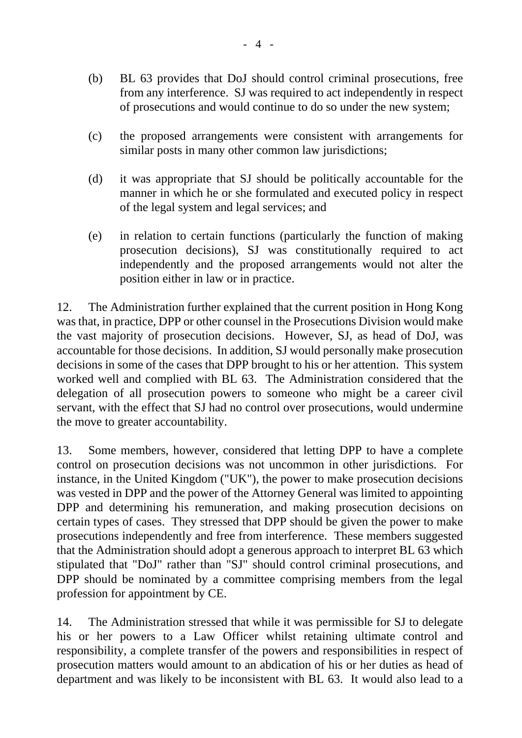- (b) BL 63 provides that DoJ should control criminal prosecutions, free from any interference. SJ was required to act independently in respect of prosecutions and would continue to do so under the new system;
- (c) the proposed arrangements were consistent with arrangements for similar posts in many other common law jurisdictions;
- (d) it was appropriate that SJ should be politically accountable for the manner in which he or she formulated and executed policy in respect of the legal system and legal services; and
- (e) in relation to certain functions (particularly the function of making prosecution decisions), SJ was constitutionally required to act independently and the proposed arrangements would not alter the position either in law or in practice.

12. The Administration further explained that the current position in Hong Kong was that, in practice, DPP or other counsel in the Prosecutions Division would make the vast majority of prosecution decisions. However, SJ, as head of DoJ, was accountable for those decisions. In addition, SJ would personally make prosecution decisions in some of the cases that DPP brought to his or her attention. This system worked well and complied with BL 63. The Administration considered that the delegation of all prosecution powers to someone who might be a career civil servant, with the effect that SJ had no control over prosecutions, would undermine the move to greater accountability.

13. Some members, however, considered that letting DPP to have a complete control on prosecution decisions was not uncommon in other jurisdictions. For instance, in the United Kingdom ("UK"), the power to make prosecution decisions was vested in DPP and the power of the Attorney General was limited to appointing DPP and determining his remuneration, and making prosecution decisions on certain types of cases. They stressed that DPP should be given the power to make prosecutions independently and free from interference. These members suggested that the Administration should adopt a generous approach to interpret BL 63 which stipulated that "DoJ" rather than "SJ" should control criminal prosecutions, and DPP should be nominated by a committee comprising members from the legal profession for appointment by CE.

14. The Administration stressed that while it was permissible for SJ to delegate his or her powers to a Law Officer whilst retaining ultimate control and responsibility, a complete transfer of the powers and responsibilities in respect of prosecution matters would amount to an abdication of his or her duties as head of department and was likely to be inconsistent with BL 63. It would also lead to a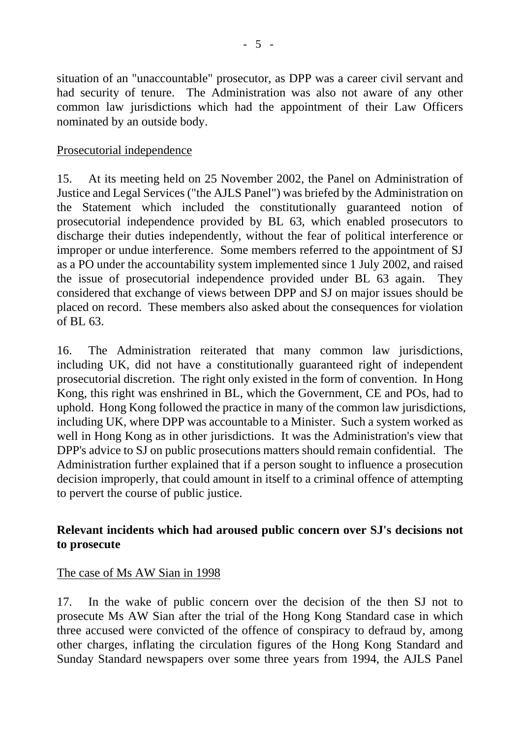situation of an "unaccountable" prosecutor, as DPP was a career civil servant and had security of tenure. The Administration was also not aware of any other common law jurisdictions which had the appointment of their Law Officers nominated by an outside body.

#### Prosecutorial independence

15. At its meeting held on 25 November 2002, the Panel on Administration of Justice and Legal Services ("the AJLS Panel") was briefed by the Administration on the Statement which included the constitutionally guaranteed notion of prosecutorial independence provided by BL 63, which enabled prosecutors to discharge their duties independently, without the fear of political interference or improper or undue interference. Some members referred to the appointment of SJ as a PO under the accountability system implemented since 1 July 2002, and raised the issue of prosecutorial independence provided under BL 63 again. They considered that exchange of views between DPP and SJ on major issues should be placed on record. These members also asked about the consequences for violation of BL 63.

16. The Administration reiterated that many common law jurisdictions, including UK, did not have a constitutionally guaranteed right of independent prosecutorial discretion. The right only existed in the form of convention. In Hong Kong, this right was enshrined in BL, which the Government, CE and POs, had to uphold. Hong Kong followed the practice in many of the common law jurisdictions, including UK, where DPP was accountable to a Minister. Such a system worked as well in Hong Kong as in other jurisdictions. It was the Administration's view that DPP's advice to SJ on public prosecutions matters should remain confidential. The Administration further explained that if a person sought to influence a prosecution decision improperly, that could amount in itself to a criminal offence of attempting to pervert the course of public justice.

## **Relevant incidents which had aroused public concern over SJ's decisions not to prosecute**

#### The case of Ms AW Sian in 1998

17. In the wake of public concern over the decision of the then SJ not to prosecute Ms AW Sian after the trial of the Hong Kong Standard case in which three accused were convicted of the offence of conspiracy to defraud by, among other charges, inflating the circulation figures of the Hong Kong Standard and Sunday Standard newspapers over some three years from 1994, the AJLS Panel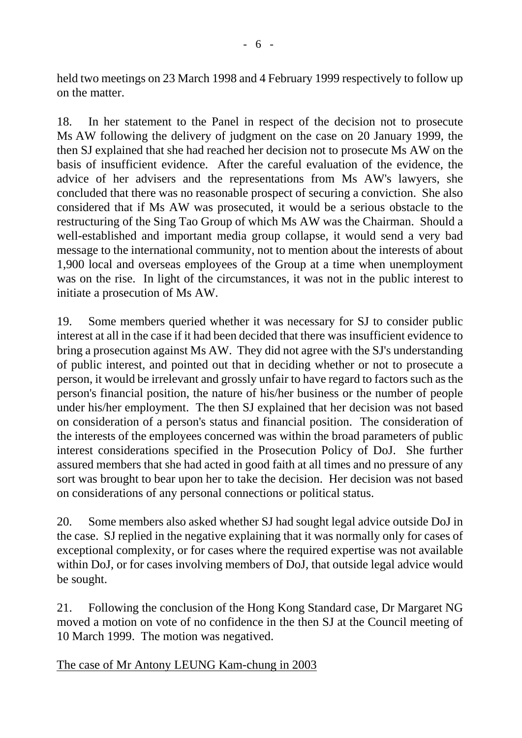held two meetings on 23 March 1998 and 4 February 1999 respectively to follow up on the matter.

18. In her statement to the Panel in respect of the decision not to prosecute Ms AW following the delivery of judgment on the case on 20 January 1999, the then SJ explained that she had reached her decision not to prosecute Ms AW on the basis of insufficient evidence. After the careful evaluation of the evidence, the advice of her advisers and the representations from Ms AW's lawyers, she concluded that there was no reasonable prospect of securing a conviction. She also considered that if Ms AW was prosecuted, it would be a serious obstacle to the restructuring of the Sing Tao Group of which Ms AW was the Chairman. Should a well-established and important media group collapse, it would send a very bad message to the international community, not to mention about the interests of about 1,900 local and overseas employees of the Group at a time when unemployment was on the rise. In light of the circumstances, it was not in the public interest to initiate a prosecution of Ms AW.

19. Some members queried whether it was necessary for SJ to consider public interest at all in the case if it had been decided that there was insufficient evidence to bring a prosecution against Ms AW. They did not agree with the SJ's understanding of public interest, and pointed out that in deciding whether or not to prosecute a person, it would be irrelevant and grossly unfair to have regard to factors such as the person's financial position, the nature of his/her business or the number of people under his/her employment. The then SJ explained that her decision was not based on consideration of a person's status and financial position. The consideration of the interests of the employees concerned was within the broad parameters of public interest considerations specified in the Prosecution Policy of DoJ. She further assured members that she had acted in good faith at all times and no pressure of any sort was brought to bear upon her to take the decision. Her decision was not based on considerations of any personal connections or political status.

20. Some members also asked whether SJ had sought legal advice outside DoJ in the case. SJ replied in the negative explaining that it was normally only for cases of exceptional complexity, or for cases where the required expertise was not available within DoJ, or for cases involving members of DoJ, that outside legal advice would be sought.

21. Following the conclusion of the Hong Kong Standard case, Dr Margaret NG moved a motion on vote of no confidence in the then SJ at the Council meeting of 10 March 1999. The motion was negatived.

The case of Mr Antony LEUNG Kam-chung in 2003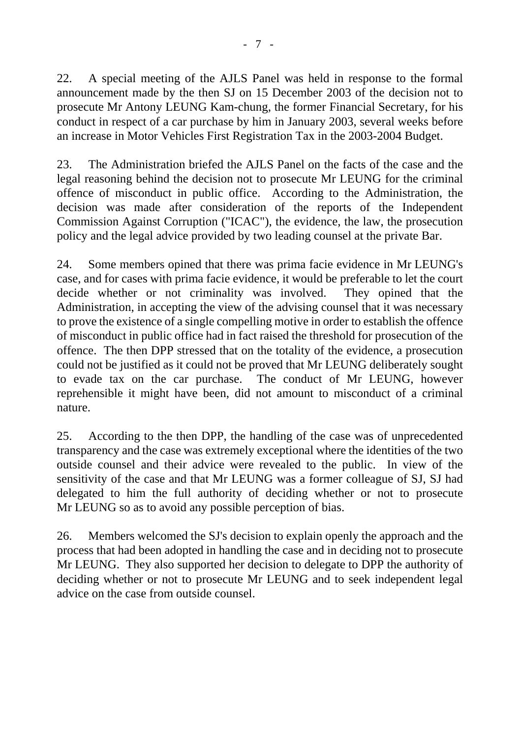22. A special meeting of the AJLS Panel was held in response to the formal announcement made by the then SJ on 15 December 2003 of the decision not to prosecute Mr Antony LEUNG Kam-chung, the former Financial Secretary, for his conduct in respect of a car purchase by him in January 2003, several weeks before an increase in Motor Vehicles First Registration Tax in the 2003-2004 Budget.

23. The Administration briefed the AJLS Panel on the facts of the case and the legal reasoning behind the decision not to prosecute Mr LEUNG for the criminal offence of misconduct in public office. According to the Administration, the decision was made after consideration of the reports of the Independent Commission Against Corruption ("ICAC"), the evidence, the law, the prosecution policy and the legal advice provided by two leading counsel at the private Bar.

24. Some members opined that there was prima facie evidence in Mr LEUNG's case, and for cases with prima facie evidence, it would be preferable to let the court decide whether or not criminality was involved. They opined that the Administration, in accepting the view of the advising counsel that it was necessary to prove the existence of a single compelling motive in order to establish the offence of misconduct in public office had in fact raised the threshold for prosecution of the offence. The then DPP stressed that on the totality of the evidence, a prosecution could not be justified as it could not be proved that Mr LEUNG deliberately sought to evade tax on the car purchase. The conduct of Mr LEUNG, however reprehensible it might have been, did not amount to misconduct of a criminal nature.

25. According to the then DPP, the handling of the case was of unprecedented transparency and the case was extremely exceptional where the identities of the two outside counsel and their advice were revealed to the public. In view of the sensitivity of the case and that Mr LEUNG was a former colleague of SJ, SJ had delegated to him the full authority of deciding whether or not to prosecute Mr LEUNG so as to avoid any possible perception of bias.

26. Members welcomed the SJ's decision to explain openly the approach and the process that had been adopted in handling the case and in deciding not to prosecute Mr LEUNG. They also supported her decision to delegate to DPP the authority of deciding whether or not to prosecute Mr LEUNG and to seek independent legal advice on the case from outside counsel.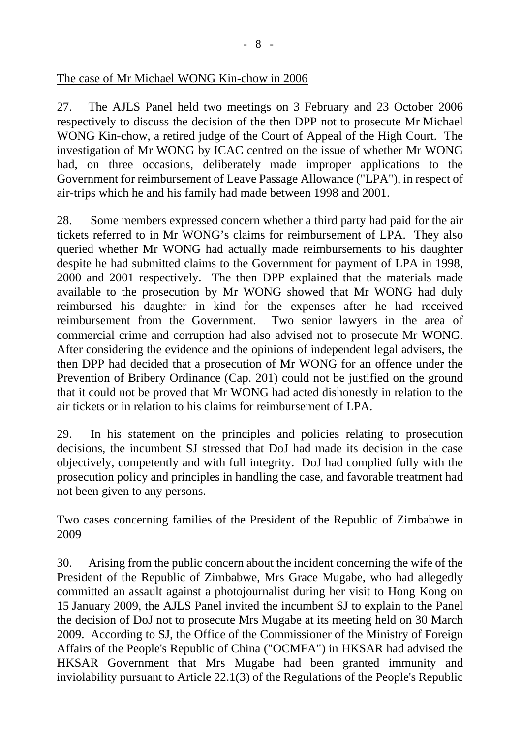#### The case of Mr Michael WONG Kin-chow in 2006

27. The AJLS Panel held two meetings on 3 February and 23 October 2006 respectively to discuss the decision of the then DPP not to prosecute Mr Michael WONG Kin-chow, a retired judge of the Court of Appeal of the High Court. The investigation of Mr WONG by ICAC centred on the issue of whether Mr WONG had, on three occasions, deliberately made improper applications to the Government for reimbursement of Leave Passage Allowance ("LPA"), in respect of air-trips which he and his family had made between 1998 and 2001.

28. Some members expressed concern whether a third party had paid for the air tickets referred to in Mr WONG's claims for reimbursement of LPA. They also queried whether Mr WONG had actually made reimbursements to his daughter despite he had submitted claims to the Government for payment of LPA in 1998, 2000 and 2001 respectively. The then DPP explained that the materials made available to the prosecution by Mr WONG showed that Mr WONG had duly reimbursed his daughter in kind for the expenses after he had received reimbursement from the Government. Two senior lawyers in the area of commercial crime and corruption had also advised not to prosecute Mr WONG. After considering the evidence and the opinions of independent legal advisers, the then DPP had decided that a prosecution of Mr WONG for an offence under the Prevention of Bribery Ordinance (Cap. 201) could not be justified on the ground that it could not be proved that Mr WONG had acted dishonestly in relation to the air tickets or in relation to his claims for reimbursement of LPA.

29. In his statement on the principles and policies relating to prosecution decisions, the incumbent SJ stressed that DoJ had made its decision in the case objectively, competently and with full integrity. DoJ had complied fully with the prosecution policy and principles in handling the case, and favorable treatment had not been given to any persons.

Two cases concerning families of the President of the Republic of Zimbabwe in 2009

30. Arising from the public concern about the incident concerning the wife of the President of the Republic of Zimbabwe, Mrs Grace Mugabe, who had allegedly committed an assault against a photojournalist during her visit to Hong Kong on 15 January 2009, the AJLS Panel invited the incumbent SJ to explain to the Panel the decision of DoJ not to prosecute Mrs Mugabe at its meeting held on 30 March 2009. According to SJ, the Office of the Commissioner of the Ministry of Foreign Affairs of the People's Republic of China ("OCMFA") in HKSAR had advised the HKSAR Government that Mrs Mugabe had been granted immunity and inviolability pursuant to Article 22.1(3) of the Regulations of the People's Republic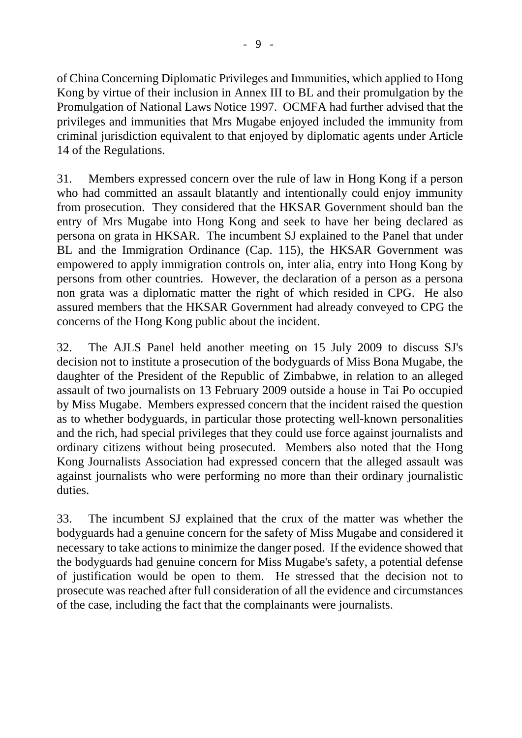of China Concerning Diplomatic Privileges and Immunities, which applied to Hong Kong by virtue of their inclusion in Annex III to BL and their promulgation by the Promulgation of National Laws Notice 1997. OCMFA had further advised that the privileges and immunities that Mrs Mugabe enjoyed included the immunity from criminal jurisdiction equivalent to that enjoyed by diplomatic agents under Article 14 of the Regulations.

31. Members expressed concern over the rule of law in Hong Kong if a person who had committed an assault blatantly and intentionally could enjoy immunity from prosecution. They considered that the HKSAR Government should ban the entry of Mrs Mugabe into Hong Kong and seek to have her being declared as persona on grata in HKSAR. The incumbent SJ explained to the Panel that under BL and the Immigration Ordinance (Cap. 115), the HKSAR Government was empowered to apply immigration controls on, inter alia, entry into Hong Kong by persons from other countries. However, the declaration of a person as a persona non grata was a diplomatic matter the right of which resided in CPG. He also assured members that the HKSAR Government had already conveyed to CPG the concerns of the Hong Kong public about the incident.

32. The AJLS Panel held another meeting on 15 July 2009 to discuss SJ's decision not to institute a prosecution of the bodyguards of Miss Bona Mugabe, the daughter of the President of the Republic of Zimbabwe, in relation to an alleged assault of two journalists on 13 February 2009 outside a house in Tai Po occupied by Miss Mugabe. Members expressed concern that the incident raised the question as to whether bodyguards, in particular those protecting well-known personalities and the rich, had special privileges that they could use force against journalists and ordinary citizens without being prosecuted. Members also noted that the Hong Kong Journalists Association had expressed concern that the alleged assault was against journalists who were performing no more than their ordinary journalistic duties.

33. The incumbent SJ explained that the crux of the matter was whether the bodyguards had a genuine concern for the safety of Miss Mugabe and considered it necessary to take actions to minimize the danger posed. If the evidence showed that the bodyguards had genuine concern for Miss Mugabe's safety, a potential defense of justification would be open to them. He stressed that the decision not to prosecute was reached after full consideration of all the evidence and circumstances of the case, including the fact that the complainants were journalists.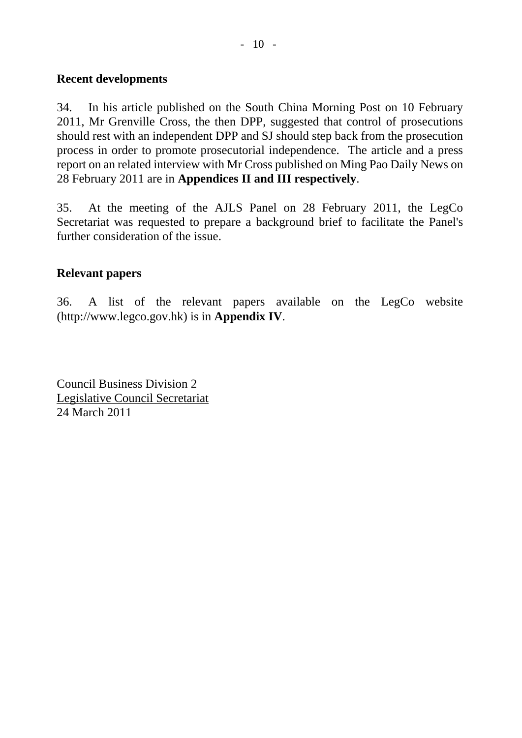### **Recent developments**

34. In his article published on the South China Morning Post on 10 February 2011, Mr Grenville Cross, the then DPP, suggested that control of prosecutions should rest with an independent DPP and SJ should step back from the prosecution process in order to promote prosecutorial independence. The article and a press report on an related interview with Mr Cross published on Ming Pao Daily News on 28 February 2011 are in **Appendices II and III respectively**.

35. At the meeting of the AJLS Panel on 28 February 2011, the LegCo Secretariat was requested to prepare a background brief to facilitate the Panel's further consideration of the issue.

### **Relevant papers**

36. A list of the relevant papers available on the LegCo website (http://www.legco.gov.hk) is in **Appendix IV**.

Council Business Division 2 Legislative Council Secretariat 24 March 2011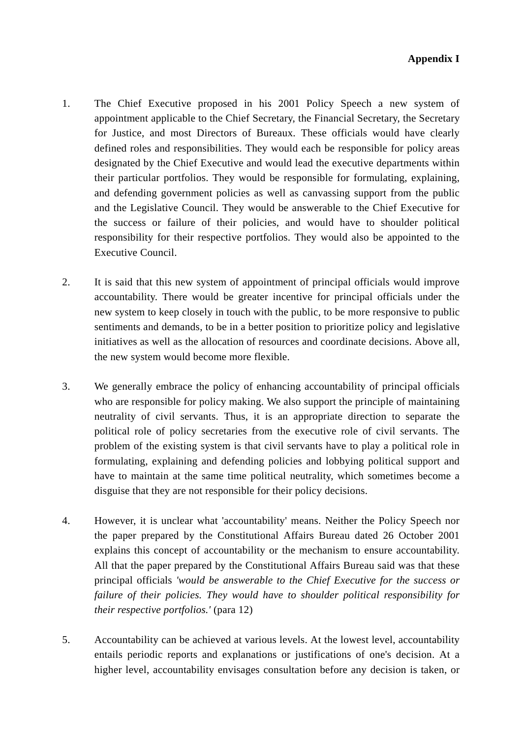- 1. The Chief Executive proposed in his 2001 Policy Speech a new system of appointment applicable to the Chief Secretary, the Financial Secretary, the Secretary for Justice, and most Directors of Bureaux. These officials would have clearly defined roles and responsibilities. They would each be responsible for policy areas designated by the Chief Executive and would lead the executive departments within their particular portfolios. They would be responsible for formulating, explaining, and defending government policies as well as canvassing support from the public and the Legislative Council. They would be answerable to the Chief Executive for the success or failure of their policies, and would have to shoulder political responsibility for their respective portfolios. They would also be appointed to the Executive Council.
- 2. It is said that this new system of appointment of principal officials would improve accountability. There would be greater incentive for principal officials under the new system to keep closely in touch with the public, to be more responsive to public sentiments and demands, to be in a better position to prioritize policy and legislative initiatives as well as the allocation of resources and coordinate decisions. Above all, the new system would become more flexible.
- 3. We generally embrace the policy of enhancing accountability of principal officials who are responsible for policy making. We also support the principle of maintaining neutrality of civil servants. Thus, it is an appropriate direction to separate the political role of policy secretaries from the executive role of civil servants. The problem of the existing system is that civil servants have to play a political role in formulating, explaining and defending policies and lobbying political support and have to maintain at the same time political neutrality, which sometimes become a disguise that they are not responsible for their policy decisions.
- 4. However, it is unclear what 'accountability' means. Neither the Policy Speech nor the paper prepared by the Constitutional Affairs Bureau dated 26 October 2001 explains this concept of accountability or the mechanism to ensure accountability. All that the paper prepared by the Constitutional Affairs Bureau said was that these principal officials *'would be answerable to the Chief Executive for the success or failure of their policies. They would have to shoulder political responsibility for their respective portfolios.'* (para 12)
- 5. Accountability can be achieved at various levels. At the lowest level, accountability entails periodic reports and explanations or justifications of one's decision. At a higher level, accountability envisages consultation before any decision is taken, or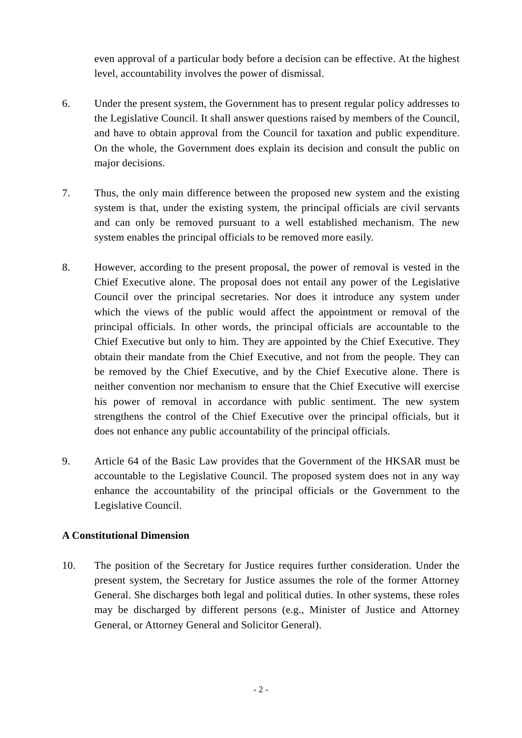even approval of a particular body before a decision can be effective. At the highest level, accountability involves the power of dismissal.

- 6. Under the present system, the Government has to present regular policy addresses to the Legislative Council. It shall answer questions raised by members of the Council, and have to obtain approval from the Council for taxation and public expenditure. On the whole, the Government does explain its decision and consult the public on major decisions.
- 7. Thus, the only main difference between the proposed new system and the existing system is that, under the existing system, the principal officials are civil servants and can only be removed pursuant to a well established mechanism. The new system enables the principal officials to be removed more easily.
- 8. However, according to the present proposal, the power of removal is vested in the Chief Executive alone. The proposal does not entail any power of the Legislative Council over the principal secretaries. Nor does it introduce any system under which the views of the public would affect the appointment or removal of the principal officials. In other words, the principal officials are accountable to the Chief Executive but only to him. They are appointed by the Chief Executive. They obtain their mandate from the Chief Executive, and not from the people. They can be removed by the Chief Executive, and by the Chief Executive alone. There is neither convention nor mechanism to ensure that the Chief Executive will exercise his power of removal in accordance with public sentiment. The new system strengthens the control of the Chief Executive over the principal officials, but it does not enhance any public accountability of the principal officials.
- 9. Article 64 of the Basic Law provides that the Government of the HKSAR must be accountable to the Legislative Council. The proposed system does not in any way enhance the accountability of the principal officials or the Government to the Legislative Council.

#### **A Constitutional Dimension**

10. The position of the Secretary for Justice requires further consideration. Under the present system, the Secretary for Justice assumes the role of the former Attorney General. She discharges both legal and political duties. In other systems, these roles may be discharged by different persons (e.g., Minister of Justice and Attorney General, or Attorney General and Solicitor General).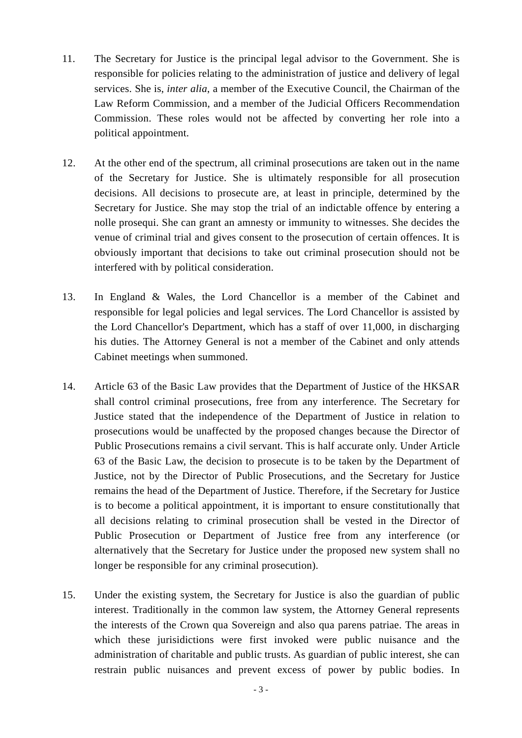- 11. The Secretary for Justice is the principal legal advisor to the Government. She is responsible for policies relating to the administration of justice and delivery of legal services. She is, *inter alia*, a member of the Executive Council, the Chairman of the Law Reform Commission, and a member of the Judicial Officers Recommendation Commission. These roles would not be affected by converting her role into a political appointment.
- 12. At the other end of the spectrum, all criminal prosecutions are taken out in the name of the Secretary for Justice. She is ultimately responsible for all prosecution decisions. All decisions to prosecute are, at least in principle, determined by the Secretary for Justice. She may stop the trial of an indictable offence by entering a nolle prosequi. She can grant an amnesty or immunity to witnesses. She decides the venue of criminal trial and gives consent to the prosecution of certain offences. It is obviously important that decisions to take out criminal prosecution should not be interfered with by political consideration.
- 13. In England & Wales, the Lord Chancellor is a member of the Cabinet and responsible for legal policies and legal services. The Lord Chancellor is assisted by the Lord Chancellor's Department, which has a staff of over 11,000, in discharging his duties. The Attorney General is not a member of the Cabinet and only attends Cabinet meetings when summoned.
- 14. Article 63 of the Basic Law provides that the Department of Justice of the HKSAR shall control criminal prosecutions, free from any interference. The Secretary for Justice stated that the independence of the Department of Justice in relation to prosecutions would be unaffected by the proposed changes because the Director of Public Prosecutions remains a civil servant. This is half accurate only. Under Article 63 of the Basic Law, the decision to prosecute is to be taken by the Department of Justice, not by the Director of Public Prosecutions, and the Secretary for Justice remains the head of the Department of Justice. Therefore, if the Secretary for Justice is to become a political appointment, it is important to ensure constitutionally that all decisions relating to criminal prosecution shall be vested in the Director of Public Prosecution or Department of Justice free from any interference (or alternatively that the Secretary for Justice under the proposed new system shall no longer be responsible for any criminal prosecution).
- 15. Under the existing system, the Secretary for Justice is also the guardian of public interest. Traditionally in the common law system, the Attorney General represents the interests of the Crown qua Sovereign and also qua parens patriae. The areas in which these jurisidictions were first invoked were public nuisance and the administration of charitable and public trusts. As guardian of public interest, she can restrain public nuisances and prevent excess of power by public bodies. In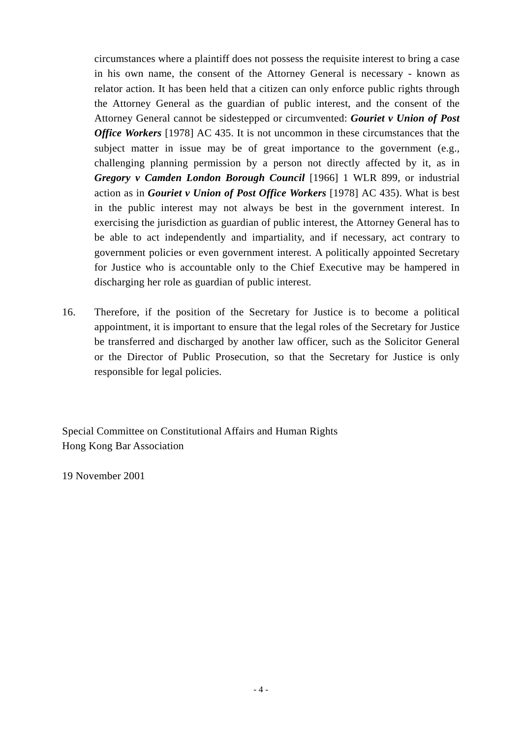circumstances where a plaintiff does not possess the requisite interest to bring a case in his own name, the consent of the Attorney General is necessary - known as relator action. It has been held that a citizen can only enforce public rights through the Attorney General as the guardian of public interest, and the consent of the Attorney General cannot be sidestepped or circumvented: *Gouriet v Union of Post Office Workers* [1978] AC 435. It is not uncommon in these circumstances that the subject matter in issue may be of great importance to the government (e.g., challenging planning permission by a person not directly affected by it, as in *Gregory v Camden London Borough Council* [1966] 1 WLR 899, or industrial action as in *Gouriet v Union of Post Office Workers* [1978] AC 435). What is best in the public interest may not always be best in the government interest. In exercising the jurisdiction as guardian of public interest, the Attorney General has to be able to act independently and impartiality, and if necessary, act contrary to government policies or even government interest. A politically appointed Secretary for Justice who is accountable only to the Chief Executive may be hampered in discharging her role as guardian of public interest.

16. Therefore, if the position of the Secretary for Justice is to become a political appointment, it is important to ensure that the legal roles of the Secretary for Justice be transferred and discharged by another law officer, such as the Solicitor General or the Director of Public Prosecution, so that the Secretary for Justice is only responsible for legal policies.

Special Committee on Constitutional Affairs and Human Rights Hong Kong Bar Association

19 November 2001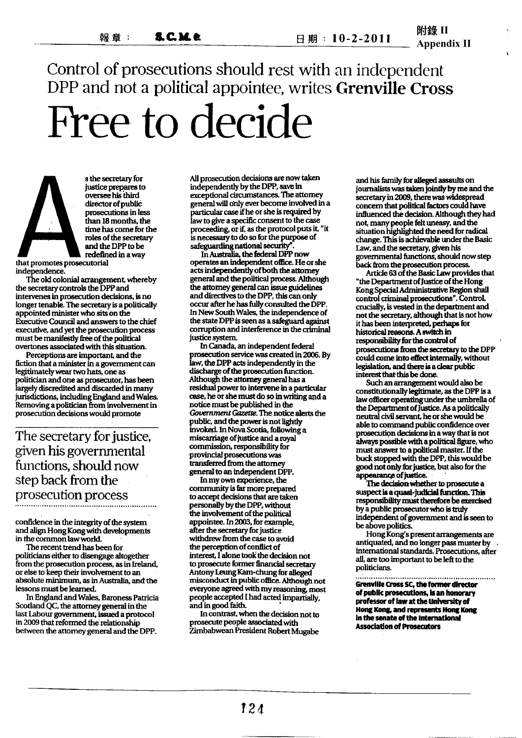Control of prosecutions should rest with an independent DPP and not a political appointee, writes Grenville Cross Free to decide

s the secretary for justice prepares to oversee his third director of public prosecutions in less than 18 months, the time has come for the roles of the secretary and the DPP to be redefined in a way

that promotes prosecutorial independence.

The old colonial arrangement, whereby the secretary controls the DPP and intervenes in prosecution decisions, is no longer tenable. The secretary is a politically appointed minister who sits on the Executive Council and answers to the chief executive, and yet the prosecution process must be manifestly free of the political overtones associated with this situation.

Perceptions are important, and the fiction that a minister in a government can legitimately wear two hats, one as politician and one as prosecutor, has been largely discredited and discarded in many jurisdictions, including England and Wales. Removing a politician from involvement in prosecution decisions would promote

## The secretary for justice, given his governmental functions, should now step back from the prosecution process

confidence in the integrity of the system and align Hong Kong with developments in the common law world.

The recent trend has been for politicians either to disengage altogether from the prosecution process, as in Ireland, or else to keep their involvement to an absolute minimum, as in Australia, and the lessons must be learned.

In England and Wales, Baroness Patricia Scotland QC, the attorney general in the last Labour government, issued a protocol in 2009 that reformed the relationship between the attorney general and the DPP.

All prosecution decisions are now taken independently by the DPP, save in exceptional circumstances. The attorney general will only ever become involved in a particular case if he or she is required by law to give a specific consent to the case proceeding, or if, as the protocol puts it, "it is necessary to do so for the purpose of safeguarding national security"

In Australia, the federal DPP now operates an independent office. He or she acts independently of both the attorney general and the political process. Although the attorney general can issue guidelines and directives to the DPP, this can only occur after he has fully consulted the DPP. In New South Wales, the independence of the state DPP is seen as a safeguard against corruption and interference in the criminal justice system.

In Canada, an independent federal prosecution service was created in 2006. By law, the DPP acts independently in the discharge of the prosecution function. Although the attorney general has a residual power to intervene in a particular case, he or she must do so in writing and a notice must be published in the Government Gazette. The notice alerts the public, and the power is not lightly invoked. In Nova Scotia, following a miscarriage of justice and a royal commission, responsibility for provincial prosecutions was transferred from the attorney general to an independent DPP.

In my own experience, the community is far more prepared to accept decisions that are taken personally by the DPP, without the involvement of the political appointee. In 2003, for example. after the secretary for justice withdrew from the case to avoid the perception of conflict of interest, I alone took the decision not to prosecute former financial secretary Antony Leung Kam-chung for alleged misconduct in public office. Although not everyone agreed with my reasoning, most people accepted I had acted impartially, and in good faith.

In contrast, when the decision not to prosecute people associated with Zimbabwean President Robert Mugabe

and his family for alleged assaults on journalists was taken jointly by me and the secretary in 2009, there was widespread concern that political factors could have influenced the decision. Although they had not, many people felt uneasy, and the situation highlighted the need for radical change. This is achievable under the Basic Law, and the secretary, given his governmental functions, should now step back from the prosecution process.

Article 63 of the Basic Law provides that "the Department of Justice of the Hong Kong Special Administrative Region shall control criminal prosecutions". Control, crucially, is vested in the department and not the secretary, although that is not how it has been interpreted, perhaps for historical reasons. A switch in responsibility for the control of prosecutions from the secretary to the DPP could come into effect internally, without legislation, and there is a clear public interest that this be done.

Such an arrangement would also be constitutionally legitimate, as the DPP is a law officer operating under the umbrella of the Department of Justice. As a politically neutral civil servant, he or she would be able to command public confidence over prosecution decisions in a way that is not always possible with a political figure, who must answer to a political master. If the buck stopped with the DPP, this would be good not only for justice, but also for the appearance of justice.

The decision whether to prosecute a suspect is a quasi-judicial function. This responsibility must therefore be exercised by a public prosecutor who is truly independent of government and is seen to be above politics.

Hong Kong's present arrangements are antiquated, and no longer pass muster by international standards. Prosecutions, after all, are too important to be left to the politicians.

.................................. Grenville Cross SC, the former director of public prosecutions, is an honorary professor of law at the University of Hong Kong, and represents Hong Kong In the senate of the international **Association of Prosecutors**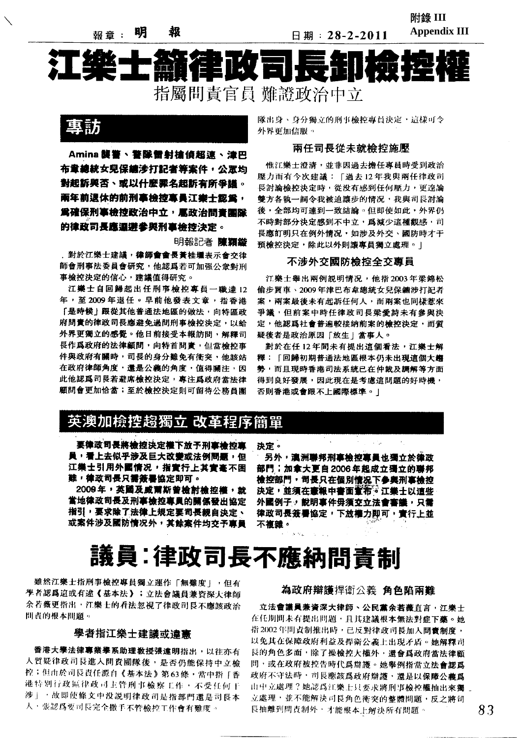銦 明 

日期: 28-2-2011

附錄 **III Appendix III** 

# 篇作印文 指屬問責官員 難證政治中立



Amina 襲警、警隊雷射槍偵超速、津巴 布童總統女兒保續涉打記者等案件,公置均 對起訴與否、或以什麼罪名起訴有所爭議。 兩年前退休的前刑事檢控專員江樂士認爲, 爲確保刑事檢控政治中立,扈政治問音團隊 的律政司長鹿邇游参與刑事検控決定。

明報記者 陳穎娄

,對於江樂士建議,**律師會會長黃桂**壜表示會交律 師會刑事法委員會研究,他認爲若可加强公衆對刑 事檢控決定的信心,建議值得研究。

江樂士自回歸起出任刑事檢控專員一職達12 年,至2009年退任。早前他發表文章,指香港 「是時候」跟從其他普通法地區的做法,向特區政 府間實的律政司長應避免過間刑事檢控決定,以給 外界更獨立的感覺。他日前接受本報訪問,解釋司 長作爲政府的法律顧問,向特首問責,但當檢控事 件與政府有關時, 司長的身分難免有衝突, 他該站 在政府律師角度,還是公義的角度,值得關注,因 此他認爲司長若避席檢控決定,專注爲政府當法律 顧問會更加恰當;至於檢控決定則可留待公務昌團

隊出身、身分獨立的刑事檢控專員決定,這樣可令 外界更加信服。

#### 兩任司長從未就檢控施壓

惟江樂士澄清,並非因過去擔任專員時受到政治 壓力而有今次建議:「過去12年我與兩任律政司 長討論檢控決定時,從没有感到任何壓力,更遑論 雙方各執一詞令我被迫讓步的情况,我與司長討論 後,全部均可達到一致結論。但即使如此,外界仍 不時對部分決定感到不中立,為減少這種觀感, 司 長應訂明只在例外情况,如涉及外交、國防時才干 預檢控決定,除此以外則讓專員獨立處理。|

#### 不涉外交國防檢控全交專員

江樂士舉出兩例説明情况,他指2003年梁錦松 偷步買車、2009年津巴布韋總統女兒保鑣涉打記者 案,兩案最後未有起訴任何人,而兩案也同樣惹來 **爭議,但前案中時任律政司長梁愛詩未有參與決** 定,他認爲社會普遍較接納前案的檢控決定,而質 疑後者是政治原因「放生」當事人。

對於在任12年間未有提出這個看法,江樂士解 釋:「回歸初期普通法地區根本仍未出現道個大趨 勢,而且現時香港司法系統已在仲裁及調解等方面 得到良好發展,因此現在是考慮這問題的好時機, 否則香港或會跟不上國際標準。1

## 英澳加檢控趨獨立 改革程序簡單

要律政司長將檢控決定權下放予刑事檢控專 員,看上去似乎涉及巨大改變或法例問題,但 江樂士引用外國情况,指會行上其會事不困 難,律政司長只需簽署協定即可。

2009年,英國及威爾斯曾檢討檢控權,就 當地律政司長及刑事檢控專員的關係發出協定 指引,要求除了法律上規定要司長親自決定、 或案件涉及國防情况外,其餘案件均交予專員

決定。

另外,澳洲聯邦刑事檢控專員也獨立於德政 部門;加拿大更自2006年起成立獨立的聯邦 檢控部門,司長只在個別情况下参與刑事檢控 決定,並須在憲報中書面**宣布。江樂士以這些** 外國例子,說明事件毋獨交立法會審議,只需 律政司長簽署協定,下放權力即可,實行上並 不補雜。

# 議員:律政司長不應納問責制

雖然江樂士指刑事檢控專員獨立運作「無難度」,但有 學者認爲這或有進《基本法》;立法會議員兼資深大律師 余若薇更指出,江樂士的看法忽視了律政司長不應該政治 問責的根本問題。

#### 學者指江樂士建議或違憲

香港大學法律專業學系助理教授張達明指出,以往亦有 人質疑律政司長進入問責團隊後,是否仍能保持中立檢 控;但由於司長責任源自《基本法》第63條,當中指「香 港特別行政區律政司主管刑事檢察工作,不受任何干 涉」,故即使條文中没説明律政司是指部門還是司長本 人,張認為要司長完全撒手不管檢控工作會有難度。

#### 為政府辯護捍衛公義 角色陷兩難

立法會議員兼資深大律師、公民黨余若薇直言,江樂士 在任期間未有提出問題,且其建議根本無法對症下藥。她 指2002年間責制推出時,已反對律政司長加入問責制度, 以免其在保障政府利益及捍衛公義上出現矛盾。她解釋司 長的角色多面,除了操檢控大權外,還會為政府當法律顧 問,或在政府被控告時代爲辯護。她舉例指當立法會認爲 政府不守法時,司長應該爲政府辯護,還是以保障公義爲 由中立處理?她認為江樂士只要求將刑事檢控權抽出來獨 立處理,並不能解決司長角色衝突的整體問題,反之將司 長抽離到問責制外,才能根本上解決所有問題。